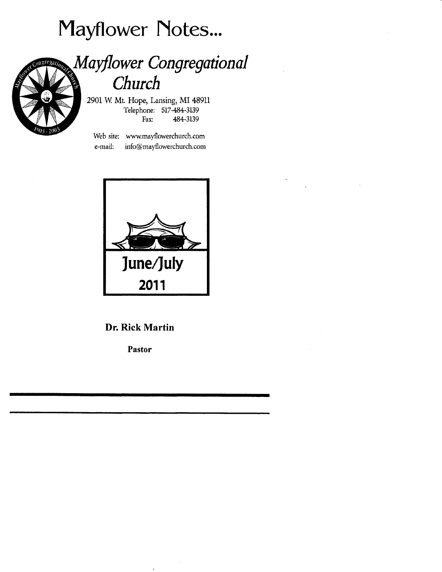# Mayflower Notes...



## Mayflower Congregational Church

2901 W. Mt. Hope, Lansing, MI 48911 Telephone: 517-484-3139 Fax: 484-3139

Web site: www.mayflowerchurch.com info@mayflowerchurch.com e-mail:



### **Dr. Rick Martin**

Pastor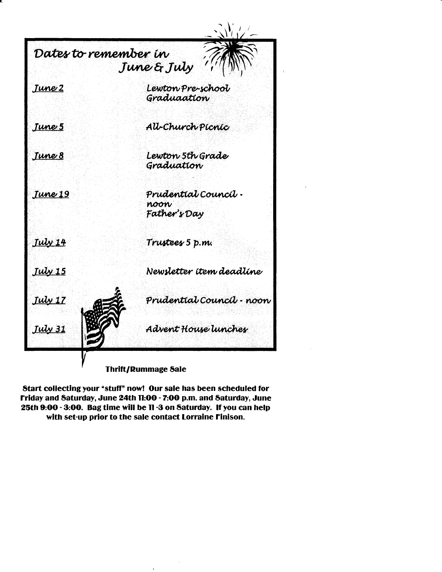

Start collecting your "stuff" now! Our sale has been scheduled for Friday and Saturday, June 24th 11:00 - 7:00 p.m. and Saturday, June 25th 9:00 - 3:00. Bag time will be 11 -3 on Saturday. If you can help with set-up prior to the sale contact Lorraine Finison.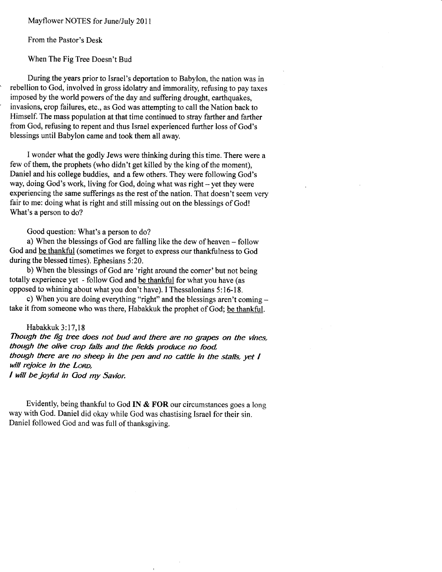Mayflower NOTES for June/July 2011

From the Pastor's Desk

When The Fig Tree Doesn't Bud

During the years prior to Israel's deportation to Babylon, the nation was in rebellion to God, involved in gross idolatry and immorality, refusing to pay taxes imposed by the world powers of the day and suffering drought, invasions, crop failures, etc., as God was attempting to call the Nation back to Himself. The mass population at that time continued to stray farther and farther from God, refusing to repent and thus Israel experienced further loss of God's blessings until Babylon came and took them all away.

I wonder what the godly Jews were thinking during this time. There were a few of them, the prophets (who didn't get killed by the king of the moment), Daniel and his college buddies, and a few others. They were following God's way, doing God's work, living for God, doing what was right - yet they were experiencing the same sufferings as the rest of the nation. That doesn't seem very fair to me: doing what is right and still missing out on the blessings of God! What's a person to do?

Good question: What's a person to do?

a) When the blessings of God are falling like the dew of heaven - follow God and be thankful (sometimes we forget to express our thankfulness to God during the blessed times). Ephesians 5:20.

b) When the blessings of God are 'right around the comer'but not being totally experience yet - follow God and be thankful for what you have (as opposed to whining about what you don't have). I Thessalonians 5:16-18.

c) When you are doing everything "right" and the blessings aren't coming take it from someone who was there, Habakkuk the prophet of God; be thankful.

Habakkuk 3:17,18 Though the fig tree does not bud and there are no grapes on the vines, though the olive crop fails and the fields produce no food. though there are no sheep in the pen and no cattle in the stalls, yet  $I$ will rejoice in the LORD, I will be joyful in God my Savior.

Evidently, being thankful to God IN & FOR our circumstances goes a long way with God. Daniel did okay while God was chastising Israel for their sin. Daniel followed God and was full of thanksgiving.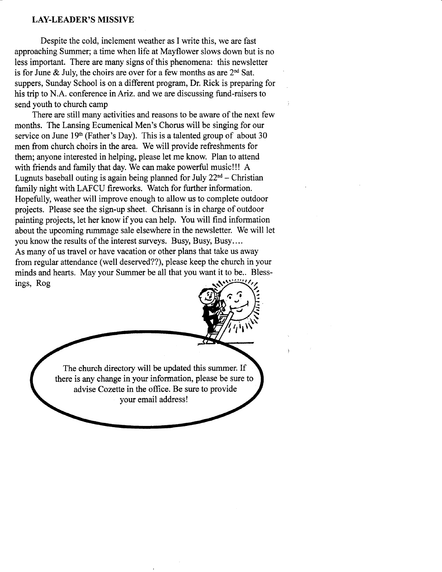#### LAY.LEADER'S MISSIVE

Despite the cold, inclement weather as I write this, we are fast approaching Summer; a time when life at Mayflower slows down but is no less important. There are many signs of this phenomena: this newsletter is for June & July, the choirs are over for a few months as are  $2<sup>nd</sup>$  Sat. suppers, Sunday School is on a different program, Dr. Rick is preparing for his trip to N.A. conference inAriz. and we are discussing fund-raisers to send youth to church camp

There are still many activities and reasons to be aware of the next few months. The Lansing Ecumenical Men's Chorus will be singing for our service on June  $19<sup>th</sup>$  (Father's Day). This is a talented group of about 30 men from church choirs in the area. We will provide refreshments for them; anyone interested in helping, please let me know. Plan to attend with friends and family that day. We can make powerful music!!! A Lugnuts baseball outing is again being planned for July  $22<sup>nd</sup>$  – Christian family night with LAFCU fireworks. Watch for further information. Hopefully, weather will improve enough to allow us to complete outdoor projects. Please see the sign-up sheet. Chrisann is in charge of outdoor painting projects, let her know if you can help. You will find information about the upcoming rummage sale elsewhere in the newsletter. We will let you know the results of the interest surveys. Busy, Busy, Busy.. .. As many of us travel or have vacation or other plans that take us away from regular attendance (well deserved??), please keep the church in your minds and hearts. May your Summer be all that you want it to be.. Blessings, Rog



 $\frac{1}{4}$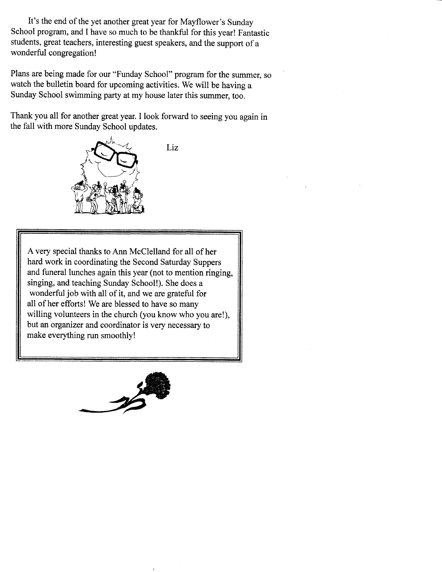It's the end of the yet another great year for Mayflower's Sunday School program, and I have so much to be thankful for this year! Fantastic students, great teachers, interesting guest speakers, and the support of a wonderful congregation!

Plans are being made for our "Funday School" program for the summer, so watch the bulletin board for upcoming activities. We will be having a Sunday School swimming party at my house later this summer, too.

Thank you all for another great year. I look forward to seeing you again in the fall with more Sunday School updates.



Liz

A very special thanks to Ann McClelland for all of her hard work in coordinating the Second Saturday Suppers and funeral lunches again this year (not to mention ringing, singing, and teaching Sunday School!). She does a wonderful job with all of it, and we are grateful for all of her efforts! We are blessed to have so many willing volunteers in the church (you know who you are!), but an organizer and coordinator is very necessary to make everything run smoothly!